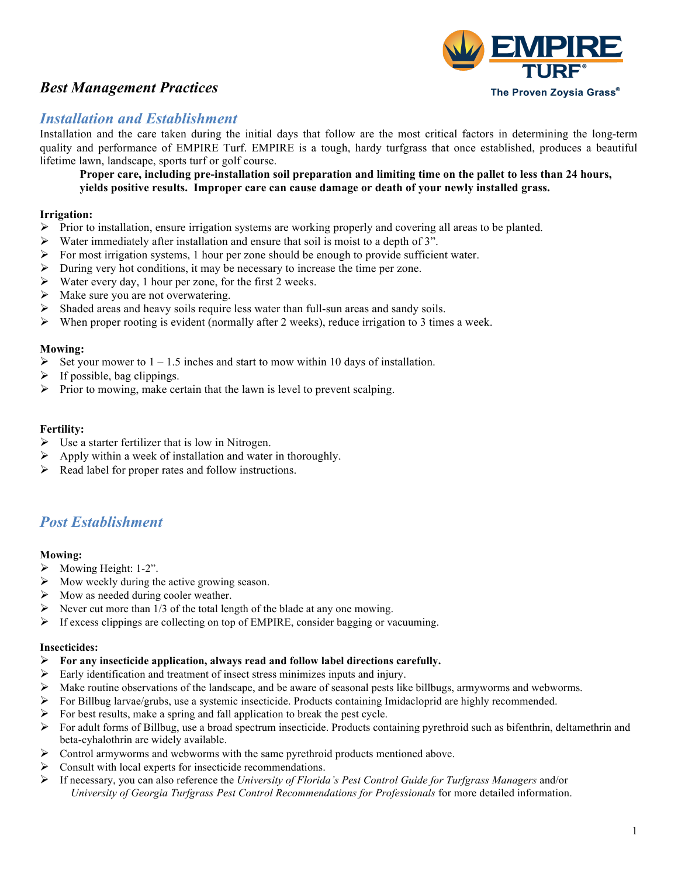# *Best Management Practices*



# *Installation and Establishment*

Installation and the care taken during the initial days that follow are the most critical factors in determining the long-term quality and performance of EMPIRE Turf. EMPIRE is a tough, hardy turfgrass that once established, produces a beautiful lifetime lawn, landscape, sports turf or golf course.

**Proper care, including pre-installation soil preparation and limiting time on the pallet to less than 24 hours, yields positive results. Improper care can cause damage or death of your newly installed grass.**

## **Irrigation:**

- $\triangleright$  Prior to installation, ensure irrigation systems are working properly and covering all areas to be planted.
- Water immediately after installation and ensure that soil is moist to a depth of 3".
- Ø For most irrigation systems, 1 hour per zone should be enough to provide sufficient water.
- Ø During very hot conditions, it may be necessary to increase the time per zone.
- $\triangleright$  Water every day, 1 hour per zone, for the first 2 weeks.
- $\triangleright$  Make sure you are not overwatering.
- $\triangleright$  Shaded areas and heavy soils require less water than full-sun areas and sandy soils.
- $\triangleright$  When proper rooting is evident (normally after 2 weeks), reduce irrigation to 3 times a week.

#### **Mowing:**

- $\triangleright$  Set your mower to 1 1.5 inches and start to mow within 10 days of installation.
- $\triangleright$  If possible, bag clippings.
- $\triangleright$  Prior to mowing, make certain that the lawn is level to prevent scalping.

#### **Fertility:**

- $\triangleright$  Use a starter fertilizer that is low in Nitrogen.
- Apply within a week of installation and water in thoroughly.
- Ø Read label for proper rates and follow instructions.

# *Post Establishment*

#### **Mowing:**

- $\triangleright$  Mowing Height: 1-2".
- Ø Mow weekly during the active growing season.
- $\triangleright$  Mow as needed during cooler weather.
- Never cut more than  $1/3$  of the total length of the blade at any one mowing.
- $\triangleright$  If excess clippings are collecting on top of EMPIRE, consider bagging or vacuuming.

#### **Insecticides:**

- Ø **For any insecticide application, always read and follow label directions carefully.**
- $\triangleright$  Early identification and treatment of insect stress minimizes inputs and injury.
- Make routine observations of the landscape, and be aware of seasonal pests like billbugs, armyworms and webworms.
- Ø For Billbug larvae/grubs, use a systemic insecticide. Products containing Imidacloprid are highly recommended.
- For best results, make a spring and fall application to break the pest cycle.
- $\triangleright$  For adult forms of Billbug, use a broad spectrum insecticide. Products containing pyrethroid such as bifenthrin, deltamethrin and beta-cyhalothrin are widely available.
- Ø Control armyworms and webworms with the same pyrethroid products mentioned above.
- $\triangleright$  Consult with local experts for insecticide recommendations.
- Ø If necessary, you can also reference the *University of Florida's Pest Control Guide for Turfgrass Managers* and/or *University of Georgia Turfgrass Pest Control Recommendations for Professionals* for more detailed information.